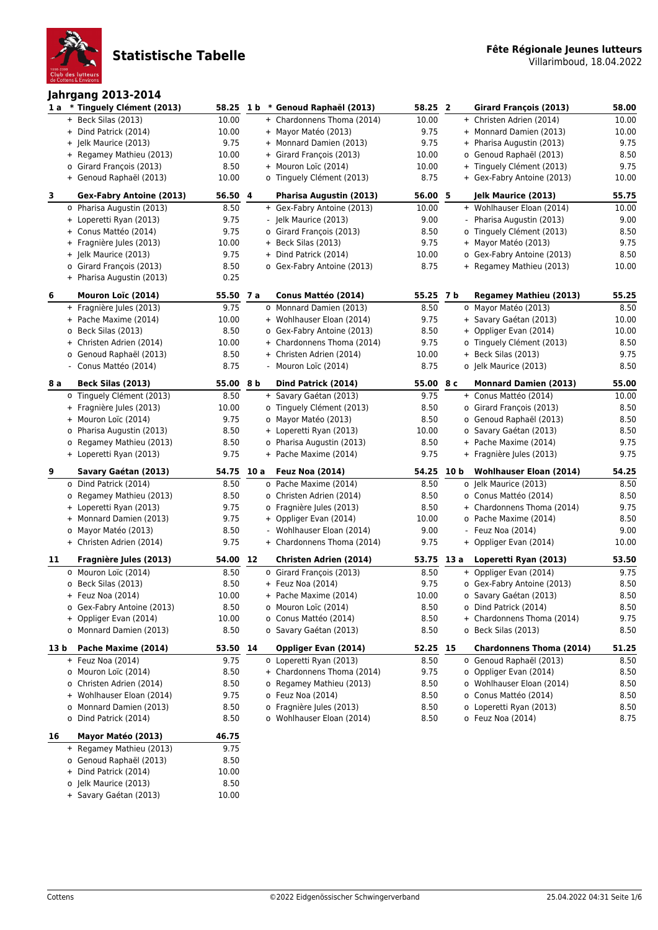

### **Jahrgang 2013-2014**

| 1a   | Jannyany LVIJ-LVIT<br>* Tinguely Clément (2013) |           |      | 58.25 1 b * Genoud Raphaël (2013) | 58.25 2   |      | Girard François (2013)           | 58.00 |
|------|-------------------------------------------------|-----------|------|-----------------------------------|-----------|------|----------------------------------|-------|
|      | + Beck Silas (2013)                             | 10.00     |      | + Chardonnens Thoma (2014)        | 10.00     |      | + Christen Adrien (2014)         | 10.00 |
|      | + Dind Patrick (2014)                           | 10.00     |      | + Mayor Matéo (2013)              | 9.75      |      | + Monnard Damien (2013)          | 10.00 |
|      | + Jelk Maurice (2013)                           | 9.75      |      | + Monnard Damien (2013)           | 9.75      |      | + Pharisa Augustin (2013)        | 9.75  |
|      | + Regamey Mathieu (2013)                        | 10.00     |      | + Girard François (2013)          | 10.00     |      | o Genoud Raphaël (2013)          | 8.50  |
|      | o Girard François (2013)                        | 8.50      |      | + Mouron Loïc (2014)              | 10.00     |      | + Tinguely Clément (2013)        | 9.75  |
|      | + Genoud Raphaël (2013)                         | 10.00     |      | o Tinguely Clément (2013)         | 8.75      |      | + Gex-Fabry Antoine (2013)       | 10.00 |
| 3    | <b>Gex-Fabry Antoine (2013)</b>                 | 56.50 4   |      | Pharisa Augustin (2013)           | 56.00 5   |      | Jelk Maurice (2013)              | 55.75 |
|      | o Pharisa Augustin (2013)                       | 8.50      |      | + Gex-Fabry Antoine (2013)        | 10.00     |      | + Wohlhauser Eloan (2014)        | 10.00 |
|      | + Loperetti Ryan (2013)                         | 9.75      |      | - Jelk Maurice (2013)             | 9.00      |      | Pharisa Augustin (2013)          | 9.00  |
|      | + Conus Mattéo (2014)                           | 9.75      |      | o Girard François (2013)          | 8.50      |      | o Tinguely Clément (2013)        | 8.50  |
|      | + Fragnière Jules (2013)                        | 10.00     |      | + Beck Silas (2013)               | 9.75      |      | + Mayor Matéo (2013)             | 9.75  |
|      | + Jelk Maurice (2013)                           | 9.75      |      | + Dind Patrick (2014)             | 10.00     |      | o Gex-Fabry Antoine (2013)       | 8.50  |
|      | o Girard François (2013)                        | 8.50      |      | o Gex-Fabry Antoine (2013)        | 8.75      |      | + Regamey Mathieu (2013)         | 10.00 |
|      | + Pharisa Augustin (2013)                       | 0.25      |      |                                   |           |      |                                  |       |
| 6    | Mouron Loïc (2014)                              | 55.50 7 a |      | Conus Mattéo (2014)               | 55.25 7 b |      | <b>Regamey Mathieu (2013)</b>    | 55.25 |
|      | + Fragnière Jules (2013)                        | 9.75      |      | o Monnard Damien (2013)           | 8.50      |      | o Mayor Matéo (2013)             | 8.50  |
|      | + Pache Maxime (2014)                           | 10.00     |      | + Wohlhauser Eloan (2014)         | 9.75      |      | + Savary Gaétan (2013)           | 10.00 |
|      | o Beck Silas (2013)                             | 8.50      |      | o Gex-Fabry Antoine (2013)        | 8.50      |      | + Oppliger Evan (2014)           | 10.00 |
|      | + Christen Adrien (2014)                        | 10.00     |      | + Chardonnens Thoma (2014)        | 9.75      |      | o Tinguely Clément (2013)        | 8.50  |
|      | o Genoud Raphaël (2013)                         | 8.50      |      | + Christen Adrien (2014)          | 10.00     |      | + Beck Silas (2013)              | 9.75  |
|      | - Conus Mattéo (2014)                           | 8.75      |      | - Mouron Loïc (2014)              | 8.75      |      | o Jelk Maurice (2013)            | 8.50  |
| 8 a  | Beck Silas (2013)                               | 55.00 8 b |      | Dind Patrick (2014)               | 55.00 8 c |      | <b>Monnard Damien (2013)</b>     | 55.00 |
|      | o Tinguely Clément (2013)                       | 8.50      |      | + Savary Gaétan (2013)            | 9.75      |      | + Conus Mattéo (2014)            | 10.00 |
|      | + Fragnière Jules (2013)                        | 10.00     |      | o Tinguely Clément (2013)         | 8.50      |      | o Girard François (2013)         | 8.50  |
|      | + Mouron Loïc (2014)                            | 9.75      |      | o Mayor Matéo (2013)              | 8.50      |      | o Genoud Raphaël (2013)          | 8.50  |
|      | o Pharisa Augustin (2013)                       | 8.50      |      | + Loperetti Ryan (2013)           | 10.00     |      | o Savary Gaétan (2013)           | 8.50  |
|      | o Regamey Mathieu (2013)                        | 8.50      |      | o Pharisa Augustin (2013)         | 8.50      |      | + Pache Maxime (2014)            | 9.75  |
|      | + Loperetti Ryan (2013)                         | 9.75      |      | + Pache Maxime (2014)             | 9.75      |      | + Fragnière Jules (2013)         | 9.75  |
| 9    | Savary Gaétan (2013)                            | 54.75     | 10 a | <b>Feuz Noa (2014)</b>            | 54.25     | 10 b | <b>Wohlhauser Eloan (2014)</b>   | 54.25 |
|      | o Dind Patrick (2014)                           | 8.50      |      | o Pache Maxime (2014)             | 8.50      |      | o Jelk Maurice (2013)            | 8.50  |
|      | o Regamey Mathieu (2013)                        | 8.50      |      | o Christen Adrien (2014)          | 8.50      |      | o Conus Mattéo (2014)            | 8.50  |
|      | + Loperetti Ryan (2013)                         | 9.75      |      | o Fragnière Jules (2013)          | 8.50      |      | + Chardonnens Thoma (2014)       | 9.75  |
|      | + Monnard Damien (2013)                         | 9.75      |      | + Oppliger Evan (2014)            | 10.00     |      | o Pache Maxime (2014)            | 8.50  |
|      | o Mayor Matéo (2013)                            | 8.50      |      | - Wohlhauser Eloan (2014)         | 9.00      |      | - Feuz Noa (2014)                | 9.00  |
|      | + Christen Adrien (2014)                        | 9.75      |      | + Chardonnens Thoma (2014)        | 9.75      |      | + Oppliger Evan (2014)           | 10.00 |
| 11   | Fragnière Jules (2013)                          | 54.00 12  |      | <b>Christen Adrien (2014)</b>     |           |      | 53.75 13 a Loperetti Ryan (2013) | 53.50 |
|      | o Mouron Loïc (2014)                            | 8.50      |      | o Girard François (2013)          | 8.50      |      | + Oppliger Evan (2014)           | 9.75  |
|      | o Beck Silas (2013)                             | 8.50      |      | + Feuz Noa (2014)                 | 9.75      |      | o Gex-Fabry Antoine (2013)       | 8.50  |
|      | + Feuz Noa (2014)                               | 10.00     |      | + Pache Maxime (2014)             | 10.00     |      | o Savary Gaétan (2013)           | 8.50  |
|      | o Gex-Fabry Antoine (2013)                      | 8.50      |      | o Mouron Loïc (2014)              | 8.50      |      | o Dind Patrick (2014)            | 8.50  |
|      | + Oppliger Evan (2014)                          | 10.00     |      | o Conus Mattéo (2014)             | 8.50      |      | + Chardonnens Thoma (2014)       | 9.75  |
|      | o Monnard Damien (2013)                         | 8.50      |      | o Savary Gaétan (2013)            | 8.50      |      | o Beck Silas (2013)              | 8.50  |
| 13 b | Pache Maxime (2014)                             | 53.50 14  |      | Oppliger Evan (2014)              | 52.25 15  |      | <b>Chardonnens Thoma (2014)</b>  | 51.25 |
|      | $+$ Feuz Noa (2014)                             | 9.75      |      | o Loperetti Ryan (2013)           | 8.50      |      | o Genoud Raphaël (2013)          | 8.50  |
|      | o Mouron Loïc (2014)                            | 8.50      |      | + Chardonnens Thoma (2014)        | 9.75      |      | o Oppliger Evan (2014)           | 8.50  |
|      | o Christen Adrien (2014)                        | 8.50      |      | o Regamey Mathieu (2013)          | 8.50      |      | o Wohlhauser Eloan (2014)        | 8.50  |
|      | + Wohlhauser Eloan (2014)                       | 9.75      |      | o Feuz Noa (2014)                 | 8.50      |      | o Conus Mattéo (2014)            | 8.50  |
|      | o Monnard Damien (2013)                         | 8.50      |      | o Fragnière Jules (2013)          | 8.50      |      | o Loperetti Ryan (2013)          | 8.50  |
|      | o Dind Patrick (2014)                           | 8.50      |      | o Wohlhauser Eloan (2014)         | 8.50      |      | o Feuz Noa (2014)                | 8.75  |
| 16   | Mayor Matéo (2013)                              | 46.75     |      |                                   |           |      |                                  |       |
|      | + Regamey Mathieu (2013)                        | 9.75      |      |                                   |           |      |                                  |       |
|      | o Genoud Raphaël (2013)                         | 8.50      |      |                                   |           |      |                                  |       |
|      | + Dind Patrick (2014)                           | 10.00     |      |                                   |           |      |                                  |       |

o Jelk Maurice (2013) 8.50<br>
+ Savary Gaétan (2013) 10.00

+ Savary Gaétan (2013)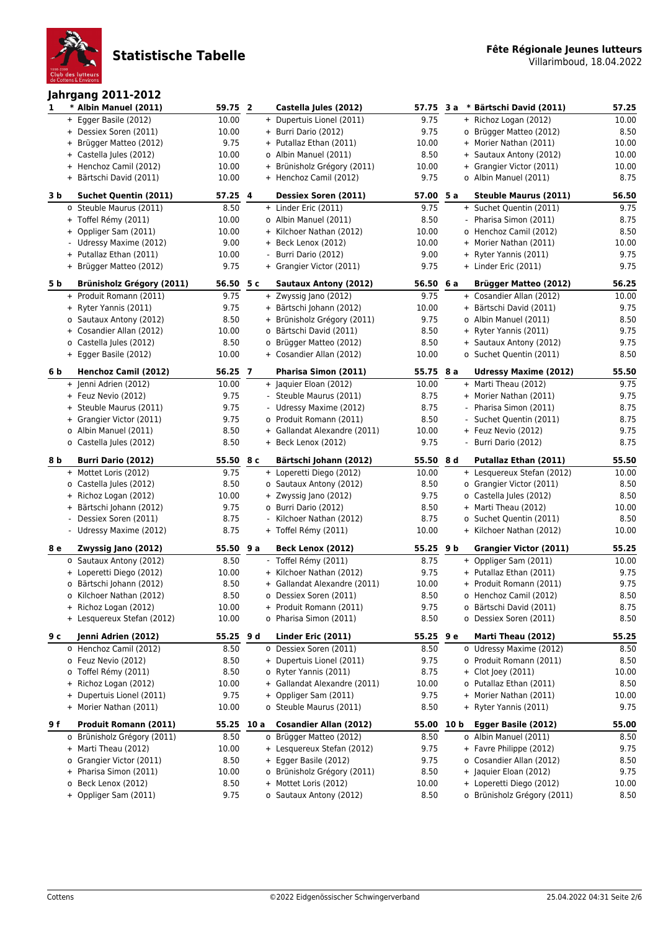

### **Jahrgang 2011-2012**

| 1   | * Albin Manuel (2011)                               | 59.75 2        |     | Castella Jules (2012)                               | 57.75         | 3 a | * Bärtschi David (2011)                                 | 57.25         |
|-----|-----------------------------------------------------|----------------|-----|-----------------------------------------------------|---------------|-----|---------------------------------------------------------|---------------|
|     | + Egger Basile (2012)                               | 10.00          |     | + Dupertuis Lionel (2011)                           | 9.75          |     | + Richoz Logan (2012)                                   | 10.00         |
|     | + Dessiex Soren (2011)                              | 10.00          |     | + Burri Dario (2012)                                | 9.75          |     | o Brügger Matteo (2012)                                 | 8.50          |
|     | + Brügger Matteo (2012)                             | 9.75           |     | + Putallaz Ethan (2011)                             | 10.00         |     | + Morier Nathan (2011)                                  | 10.00         |
|     | + Castella Jules (2012)                             | 10.00          |     | o Albin Manuel (2011)                               | 8.50          |     | + Sautaux Antony (2012)                                 | 10.00         |
|     | + Henchoz Camil (2012)                              | 10.00          |     | + Brünisholz Grégory (2011)                         | 10.00         |     | + Grangier Victor (2011)                                | 10.00         |
|     | + Bärtschi David (2011)                             | 10.00          |     | + Henchoz Camil (2012)                              | 9.75          |     | o Albin Manuel (2011)                                   | 8.75          |
| 3 b | <b>Suchet Quentin (2011)</b>                        | 57.25 4        |     | Dessiex Soren (2011)                                | 57.00 5 a     |     | <b>Steuble Maurus (2011)</b>                            | 56.50         |
|     | o Steuble Maurus (2011)                             | 8.50           |     | + Linder Eric (2011)                                | 9.75          |     | + Suchet Quentin (2011)                                 | 9.75          |
|     | + Toffel Rémy (2011)                                | 10.00          |     | o Albin Manuel (2011)                               | 8.50          |     | - Pharisa Simon (2011)                                  | 8.75          |
|     | + Oppliger Sam (2011)                               | 10.00          |     | + Kilchoer Nathan (2012)                            | 10.00         |     | o Henchoz Camil (2012)                                  | 8.50          |
|     | - Udressy Maxime (2012)                             | 9.00           |     | + Beck Lenox (2012)                                 | 10.00         |     | + Morier Nathan (2011)                                  | 10.00         |
|     | + Putallaz Ethan (2011)                             | 10.00          |     | - Burri Dario (2012)                                | 9.00          |     | + Ryter Yannis (2011)                                   | 9.75          |
|     | + Brügger Matteo (2012)                             | 9.75           |     | + Grangier Victor (2011)                            | 9.75          |     | + Linder Eric (2011)                                    | 9.75          |
| 5 b | <b>Brünisholz Grégory (2011)</b>                    | 56.50 5 c      |     | Sautaux Antony (2012)                               | 56.50 6 a     |     | Brügger Matteo (2012)                                   | 56.25         |
|     | + Produit Romann (2011)                             | 9.75           |     | + Zwyssig Jano (2012)                               | 9.75          |     | + Cosandier Allan (2012)                                | 10.00         |
|     | + Ryter Yannis (2011)                               | 9.75           |     | + Bärtschi Johann (2012)                            | 10.00         |     | + Bärtschi David (2011)                                 | 9.75          |
|     | o Sautaux Antony (2012)                             | 8.50           |     | + Brünisholz Grégory (2011)                         | 9.75          |     | o Albin Manuel (2011)                                   | 8.50          |
|     | + Cosandier Allan (2012)                            | 10.00          |     | o Bärtschi David (2011)                             | 8.50          |     | + Ryter Yannis (2011)                                   | 9.75          |
|     | o Castella Jules (2012)                             | 8.50           |     | o Brügger Matteo (2012)                             | 8.50          |     | + Sautaux Antony (2012)                                 | 9.75          |
|     | + Egger Basile (2012)                               | 10.00          |     | + Cosandier Allan (2012)                            | 10.00         |     | o Suchet Quentin (2011)                                 | 8.50          |
| 6 b | <b>Henchoz Camil (2012)</b>                         | 56.25 7        |     | Pharisa Simon (2011)                                | 55.75 8 a     |     | <b>Udressy Maxime (2012)</b>                            | 55.50         |
|     | + Jenni Adrien (2012)                               | 10.00          |     | + Jaquier Eloan (2012)                              | 10.00         |     | + Marti Theau (2012)                                    | 9.75          |
|     | + Feuz Nevio (2012)                                 | 9.75           |     | - Steuble Maurus (2011)                             | 8.75          |     | + Morier Nathan (2011)                                  | 9.75          |
|     | + Steuble Maurus (2011)<br>+ Grangier Victor (2011) | 9.75<br>9.75   |     | - Udressy Maxime (2012)<br>o Produit Romann (2011)  | 8.75          |     | - Pharisa Simon (2011)                                  | 8.75          |
|     | o Albin Manuel (2011)                               | 8.50           |     | + Gallandat Alexandre (2011)                        | 8.50<br>10.00 |     | - Suchet Quentin (2011)<br>+ Feuz Nevio (2012)          | 8.75<br>9.75  |
|     | o Castella Jules (2012)                             | 8.50           |     | + Beck Lenox (2012)                                 | 9.75          |     | - Burri Dario (2012)                                    | 8.75          |
|     |                                                     |                |     |                                                     |               |     |                                                         |               |
|     |                                                     |                |     |                                                     |               |     |                                                         |               |
| 8 b | <b>Burri Dario (2012)</b>                           | 55.50 8 c      |     | Bärtschi Johann (2012)                              | 55.50 8 d     |     | Putallaz Ethan (2011)                                   | 55.50         |
|     | + Mottet Loris (2012)                               | 9.75           |     | + Loperetti Diego (2012)                            | 10.00         |     | + Lesquereux Stefan (2012)                              | 10.00         |
|     | o Castella Jules (2012)                             | 8.50           |     | o Sautaux Antony (2012)                             | 8.50          |     | o Grangier Victor (2011)                                | 8.50          |
|     | + Richoz Logan (2012)                               | 10.00          |     | + Zwyssig Jano (2012)                               | 9.75          |     | o Castella Jules (2012)                                 | 8.50          |
|     | + Bärtschi Johann (2012)                            | 9.75           |     | o Burri Dario (2012)                                | 8.50          |     | + Marti Theau (2012)                                    | 10.00         |
|     | - Dessiex Soren (2011)                              | 8.75           |     | - Kilchoer Nathan (2012)                            | 8.75          |     | o Suchet Quentin (2011)                                 | 8.50          |
|     | - Udressy Maxime (2012)                             | 8.75           |     | + Toffel Rémy (2011)                                | 10.00         |     | + Kilchoer Nathan (2012)                                | 10.00         |
| 8е  | Zwyssig Jano (2012)                                 | 55.50          | 9 a | Beck Lenox (2012)                                   | 55.25 9 b     |     | <b>Grangier Victor (2011)</b>                           | 55.25         |
|     | o Sautaux Antony (2012)                             | 8.50           |     | - Toffel Rémy (2011)                                | 8.75          |     | + Oppliger Sam (2011)                                   | 10.00         |
|     | + Loperetti Diego (2012)                            | 10.00          |     | + Kilchoer Nathan (2012)                            | 9.75          |     | + Putallaz Ethan (2011)                                 | 9.75          |
|     | o Bärtschi Johann (2012)                            | 8.50           |     | + Gallandat Alexandre (2011)                        | 10.00         |     | + Produit Romann (2011)                                 | 9.75          |
|     | o Kilchoer Nathan (2012)                            | 8.50           |     | o Dessiex Soren (2011)                              | 8.50          |     | o Henchoz Camil (2012)                                  | 8.50          |
|     | + Richoz Logan (2012)<br>+ Lesquereux Stefan (2012) | 10.00<br>10.00 |     | + Produit Romann (2011)<br>o Pharisa Simon (2011)   | 9.75<br>8.50  |     | o Bärtschi David (2011)<br>o Dessiex Soren (2011)       | 8.75<br>8.50  |
|     |                                                     |                |     |                                                     |               |     |                                                         |               |
| 9 с | Jenni Adrien (2012)                                 | 55.25 9 d      |     | Linder Eric (2011)                                  | 55.25 9 e     |     | Marti Theau (2012)                                      | 55.25         |
|     | o Henchoz Camil (2012)<br>o Feuz Nevio (2012)       | 8.50<br>8.50   |     | o Dessiex Soren (2011)<br>+ Dupertuis Lionel (2011) | 8.50<br>9.75  |     | o Udressy Maxime (2012)<br>o Produit Romann (2011)      | 8.50<br>8.50  |
|     | o Toffel Rémy (2011)                                | 8.50           |     | o Ryter Yannis (2011)                               | 8.75          |     | + Clot Joey (2011)                                      | 10.00         |
|     | + Richoz Logan (2012)                               | 10.00          |     | + Gallandat Alexandre (2011)                        | 10.00         |     | o Putallaz Ethan (2011)                                 | 8.50          |
|     | Dupertuis Lionel (2011)<br>$+$                      | 9.75           |     | + Oppliger Sam (2011)                               | 9.75          |     | + Morier Nathan (2011)                                  | 10.00         |
|     | + Morier Nathan (2011)                              | 10.00          |     | o Steuble Maurus (2011)                             | 8.50          |     | + Ryter Yannis (2011)                                   | 9.75          |
| 9 f | Produit Romann (2011)                               | 55.25 10 a     |     | Cosandier Allan (2012)                              | 55.00 10 b    |     | Egger Basile (2012)                                     | 55.00         |
|     | o Brünisholz Grégory (2011)                         | 8.50           |     | o Brügger Matteo (2012)                             | 8.50          |     | o Albin Manuel (2011)                                   | 8.50          |
|     | + Marti Theau (2012)                                | 10.00          |     | + Lesquereux Stefan (2012)                          | 9.75          |     | + Favre Philippe (2012)                                 | 9.75          |
|     | Grangier Victor (2011)<br>0                         | 8.50           |     | + Egger Basile (2012)                               | 9.75          |     | o Cosandier Allan (2012)                                | 8.50          |
|     | + Pharisa Simon (2011)                              | 10.00          |     | o Brünisholz Grégory (2011)                         | 8.50          |     | + Jaquier Eloan (2012)                                  | 9.75          |
|     | o Beck Lenox (2012)<br>+ Oppliger Sam (2011)        | 8.50<br>9.75   |     | + Mottet Loris (2012)<br>o Sautaux Antony (2012)    | 10.00<br>8.50 |     | + Loperetti Diego (2012)<br>o Brünisholz Grégory (2011) | 10.00<br>8.50 |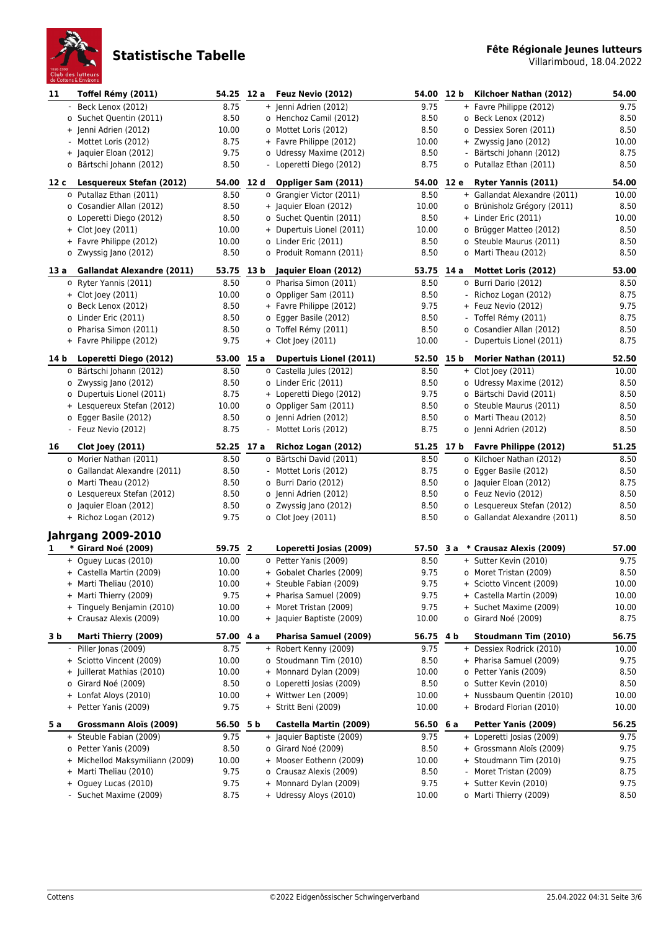

| 11   | Toffel Rémy (2011)                                | 54.25 12 a    |      | Feuz Nevio (2012)                                | 54.00         | 12 <sub>b</sub> | Kilchoer Nathan (2012)                                | 54.00        |
|------|---------------------------------------------------|---------------|------|--------------------------------------------------|---------------|-----------------|-------------------------------------------------------|--------------|
|      | Beck Lenox (2012)                                 | 8.75          |      | + Jenni Adrien (2012)                            | 9.75          |                 | + Favre Philippe (2012)                               | 9.75         |
|      | o Suchet Quentin (2011)                           | 8.50          |      | o Henchoz Camil (2012)                           | 8.50          |                 | o Beck Lenox (2012)                                   | 8.50         |
|      | + Jenni Adrien (2012)                             | 10.00         |      | o Mottet Loris (2012)                            | 8.50          |                 | o Dessiex Soren (2011)                                | 8.50         |
|      | - Mottet Loris (2012)                             | 8.75          |      | + Favre Philippe (2012)                          | 10.00         |                 | + Zwyssig Jano (2012)                                 | 10.00        |
|      | + Jaquier Eloan (2012)                            | 9.75          |      | o Udressy Maxime (2012)                          | 8.50          |                 | - Bärtschi Johann (2012)                              | 8.75         |
|      | o Bärtschi Johann (2012)                          | 8.50          |      | - Loperetti Diego (2012)                         | 8.75          |                 | o Putallaz Ethan (2011)                               | 8.50         |
| 12 c | Lesquereux Stefan (2012)                          | 54.00 12 d    |      | Oppliger Sam (2011)                              | 54.00 12 e    |                 | Ryter Yannis (2011)                                   | 54.00        |
|      | o Putallaz Ethan (2011)                           | 8.50          |      | o Grangier Victor (2011)                         | 8.50          |                 | + Gallandat Alexandre (2011)                          | 10.00        |
|      | o Cosandier Allan (2012)                          | 8.50          |      | + Jaquier Eloan (2012)                           | 10.00         |                 | o Brünisholz Grégory (2011)                           | 8.50         |
|      | o Loperetti Diego (2012)                          | 8.50          |      | o Suchet Quentin (2011)                          | 8.50          |                 | + Linder Eric (2011)                                  | 10.00        |
|      | + Clot Joey (2011)                                | 10.00         |      | + Dupertuis Lionel (2011)                        | 10.00         |                 | o Brügger Matteo (2012)                               | 8.50         |
|      | + Favre Philippe (2012)                           | 10.00         |      | o Linder Eric (2011)                             | 8.50          |                 | o Steuble Maurus (2011)                               | 8.50         |
|      | o Zwyssig Jano (2012)                             | 8.50          |      | o Produit Romann (2011)                          | 8.50          |                 | o Marti Theau (2012)                                  | 8.50         |
| 13 a | <b>Gallandat Alexandre (2011)</b>                 | 53.75         | 13 b | Jaquier Eloan (2012)                             | 53.75         | 14 a            | Mottet Loris (2012)                                   | 53.00        |
|      | o Ryter Yannis (2011)                             | 8.50          |      | o Pharisa Simon (2011)                           | 8.50          |                 | o Burri Dario (2012)                                  | 8.50         |
|      | + Clot Joey (2011)                                | 10.00         |      | o Oppliger Sam (2011)                            | 8.50          |                 | - Richoz Logan (2012)                                 | 8.75         |
|      | o Beck Lenox (2012)                               | 8.50          |      | + Favre Philippe (2012)                          | 9.75          |                 | + Feuz Nevio (2012)                                   | 9.75         |
|      | o Linder Eric (2011)                              | 8.50          |      | o Egger Basile (2012)                            | 8.50          |                 | - Toffel Rémy (2011)                                  | 8.75         |
|      | o Pharisa Simon (2011)                            | 8.50          |      | o Toffel Rémy (2011)                             | 8.50          |                 | o Cosandier Allan (2012)                              | 8.50         |
|      | + Favre Philippe (2012)                           | 9.75          |      | + Clot Joey (2011)                               | 10.00         |                 | - Dupertuis Lionel (2011)                             | 8.75         |
| 14 b | Loperetti Diego (2012)                            | 53.00 15 a    |      | Dupertuis Lionel (2011)                          | 52.50 15 b    |                 | Morier Nathan (2011)                                  | 52.50        |
|      | o Bärtschi Johann (2012)                          | 8.50          |      | o Castella Jules (2012)                          | 8.50          |                 | + Clot Joey (2011)                                    | 10.00        |
|      | o Zwyssig Jano (2012)                             | 8.50          |      | o Linder Eric (2011)                             | 8.50          |                 | o Udressy Maxime (2012)                               | 8.50         |
|      | o Dupertuis Lionel (2011)                         | 8.75          |      | + Loperetti Diego (2012)                         | 9.75          |                 | o Bärtschi David (2011)                               | 8.50         |
|      | + Lesquereux Stefan (2012)                        | 10.00         |      | o Oppliger Sam (2011)                            | 8.50          |                 | o Steuble Maurus (2011)                               | 8.50         |
|      | o Egger Basile (2012)                             | 8.50          |      | o Jenni Adrien (2012)                            | 8.50          |                 | o Marti Theau (2012)                                  | 8.50         |
|      | - Feuz Nevio (2012)                               | 8.75          |      | - Mottet Loris (2012)                            | 8.75          |                 | o Jenni Adrien (2012)                                 | 8.50         |
| 16   | <b>Clot Joey (2011)</b>                           | 52.25 17 a    |      | Richoz Logan (2012)                              | 51.25 17 b    |                 | Favre Philippe (2012)                                 | 51.25        |
|      | o Morier Nathan (2011)                            | 8.50          |      | o Bärtschi David (2011)                          | 8.50          |                 | o Kilchoer Nathan (2012)                              | 8.50         |
|      | o Gallandat Alexandre (2011)                      | 8.50          |      | - Mottet Loris (2012)                            | 8.75          |                 | o Egger Basile (2012)                                 | 8.50         |
|      | o Marti Theau (2012)                              | 8.50          |      | o Burri Dario (2012)                             | 8.50          |                 | o Jaquier Eloan (2012)                                | 8.75         |
|      | o Lesquereux Stefan (2012)                        | 8.50          |      | o Jenni Adrien (2012)                            | 8.50          |                 | o Feuz Nevio (2012)                                   | 8.50         |
|      | o Jaquier Eloan (2012)                            | 8.50          |      | o Zwyssig Jano (2012)                            | 8.50          |                 | o Lesquereux Stefan (2012)                            | 8.50         |
|      | + Richoz Logan (2012)                             | 9.75          |      | o Clot Joey (2011)                               | 8.50          |                 | o Gallandat Alexandre (2011)                          | 8.50         |
|      | <b>Jahrgang 2009-2010</b>                         |               |      |                                                  |               |                 |                                                       |              |
| 1    | * Girard Noé (2009)                               | 59.75 2       |      | Loperetti Josias (2009)                          | 57.50 3 a     |                 | * Crausaz Alexis (2009)                               | 57.00        |
|      | + Oquey Lucas (2010)                              | 10.00         |      | o Petter Yanis (2009)                            | 8.50          |                 | + Sutter Kevin (2010)                                 | 9.75         |
|      | + Castella Martin (2009)                          | 10.00         |      | + Gobalet Charles (2009)                         | 9.75          |                 | o Moret Tristan (2009)                                | 8.50         |
|      | + Marti Theliau (2010)                            | 10.00         |      | + Steuble Fabian (2009)                          | 9.75          |                 | + Sciotto Vincent (2009)                              | 10.00        |
|      | + Marti Thierry (2009)                            | 9.75          |      | + Pharisa Samuel (2009)                          | 9.75          |                 | + Castella Martin (2009)                              | 10.00        |
|      | + Tinguely Benjamin (2010)                        | 10.00         |      | + Moret Tristan (2009)                           | 9.75          |                 | + Suchet Maxime (2009)                                | 10.00        |
|      | + Crausaz Alexis (2009)                           | 10.00         |      | + Jaquier Baptiste (2009)                        | 10.00         |                 | o Girard Noé (2009)                                   | 8.75         |
| 3 b  | Marti Thierry (2009)                              | 57.00 4 a     |      | Pharisa Samuel (2009)                            | 56.75 4 b     |                 | Stoudmann Tim (2010)                                  | 56.75        |
|      | Piller Jonas (2009)                               | 8.75          |      | + Robert Kenny (2009)                            | 9.75          |                 | + Dessiex Rodrick (2010)                              | 10.00        |
|      | + Sciotto Vincent (2009)                          | 10.00         |      | o Stoudmann Tim (2010)<br>+ Monnard Dylan (2009) | 8.50          |                 | + Pharisa Samuel (2009)                               | 9.75         |
|      | + Juillerat Mathias (2010)<br>o Girard Noé (2009) | 10.00<br>8.50 |      | o Loperetti Josias (2009)                        | 10.00<br>8.50 |                 | o Petter Yanis (2009)<br>o Sutter Kevin (2010)        | 8.50<br>8.50 |
|      | + Lonfat Aloys (2010)                             | 10.00         |      | + Wittwer Len (2009)                             | 10.00         |                 | + Nussbaum Quentin (2010)                             | 10.00        |
|      | + Petter Yanis (2009)                             | 9.75          |      | + Stritt Beni (2009)                             | 10.00         |                 | + Brodard Florian (2010)                              | 10.00        |
|      |                                                   |               |      |                                                  |               |                 |                                                       |              |
| 5 a  | Grossmann Aloïs (2009)                            | 56.50 5 b     |      | Castella Martin (2009)                           | 56.50 6 a     |                 | Petter Yanis (2009)                                   | 56.25        |
|      | + Steuble Fabian (2009)<br>o Petter Yanis (2009)  | 9.75<br>8.50  |      | + Jaquier Baptiste (2009)<br>o Girard Noé (2009) | 9.75<br>8.50  |                 | + Loperetti Josias (2009)<br>+ Grossmann Aloïs (2009) | 9.75<br>9.75 |
|      | + Michellod Maksymiliann (2009)                   | 10.00         |      | + Mooser Eothenn (2009)                          | 10.00         |                 | + Stoudmann Tim (2010)                                | 9.75         |
|      | + Marti Theliau (2010)                            | 9.75          |      | o Crausaz Alexis (2009)                          | 8.50          |                 | - Moret Tristan (2009)                                | 8.75         |
|      |                                                   |               |      |                                                  |               |                 |                                                       |              |
|      |                                                   |               |      |                                                  |               |                 |                                                       |              |
|      | + Oguey Lucas (2010)<br>- Suchet Maxime (2009)    | 9.75<br>8.75  |      | + Monnard Dylan (2009)<br>+ Udressy Aloys (2010) | 9.75<br>10.00 |                 | + Sutter Kevin (2010)<br>o Marti Thierry (2009)       | 9.75<br>8.50 |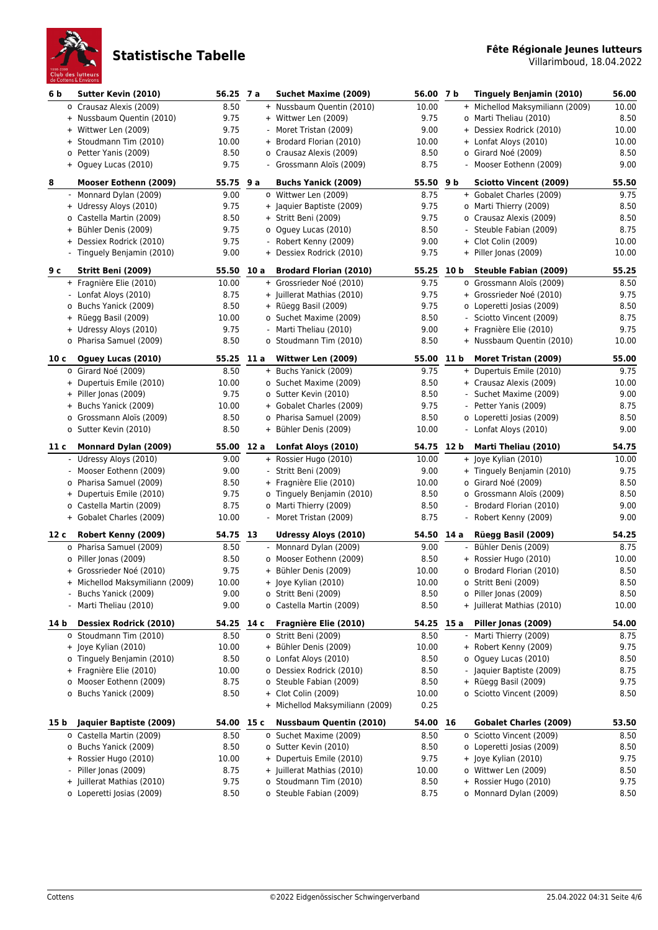

| 6 <sub>b</sub> | Sutter Kevin (2010)                               | 56.25 7 a     |                          | Suchet Maxime (2009)                                   | 56.00 7 b     |                          | Tinguely Benjamin (2010)                          | 56.00        |
|----------------|---------------------------------------------------|---------------|--------------------------|--------------------------------------------------------|---------------|--------------------------|---------------------------------------------------|--------------|
|                | o Crausaz Alexis (2009)                           | 8.50          |                          | + Nussbaum Quentin (2010)                              | 10.00         |                          | + Michellod Maksymiliann (2009)                   | 10.00        |
|                | + Nussbaum Quentin (2010)                         | 9.75          |                          | + Wittwer Len (2009)                                   | 9.75          |                          | o Marti Theliau (2010)                            | 8.50         |
|                | + Wittwer Len (2009)                              | 9.75          |                          | Moret Tristan (2009)                                   | 9.00          |                          | + Dessiex Rodrick (2010)                          | 10.00        |
|                | + Stoudmann Tim (2010)                            | 10.00         |                          | + Brodard Florian (2010)                               | 10.00         |                          | + Lonfat Aloys (2010)                             | 10.00        |
|                | o Petter Yanis (2009)                             | 8.50          |                          | o Crausaz Alexis (2009)                                | 8.50          |                          | o Girard Noé (2009)                               | 8.50         |
|                | + Oguey Lucas (2010)                              | 9.75          |                          | Grossmann Aloïs (2009)                                 | 8.75          |                          | Mooser Eothenn (2009)                             | 9.00         |
| 8              | Mooser Eothenn (2009)                             | 55.75 9 a     |                          | <b>Buchs Yanick (2009)</b>                             | 55.50 9 b     |                          | <b>Sciotto Vincent (2009)</b>                     | 55.50        |
|                | - Monnard Dylan (2009)                            | 9.00          |                          | o Wittwer Len (2009)                                   | 8.75          |                          | + Gobalet Charles (2009)                          | 9.75         |
|                | + Udressy Aloys (2010)                            | 9.75          |                          | + Jaquier Baptiste (2009)                              | 9.75          |                          | o Marti Thierry (2009)                            | 8.50         |
|                | o Castella Martin (2009)                          | 8.50          |                          | + Stritt Beni (2009)                                   | 9.75          |                          | o Crausaz Alexis (2009)                           | 8.50         |
|                | + Bühler Denis (2009)                             | 9.75          |                          | o Oguey Lucas (2010)                                   | 8.50          |                          | Steuble Fabian (2009)                             | 8.75         |
|                | + Dessiex Rodrick (2010)                          | 9.75          |                          | Robert Kenny (2009)                                    | 9.00          |                          | + Clot Colin (2009)                               | 10.00        |
|                | - Tinguely Benjamin (2010)                        | 9.00          |                          | + Dessiex Rodrick (2010)                               | 9.75          |                          | + Piller Jonas (2009)                             | 10.00        |
| 9 с            | Stritt Beni (2009)                                | 55.50 10 a    |                          | <b>Brodard Florian (2010)</b>                          | 55.25 10 b    |                          | <b>Steuble Fabian (2009)</b>                      | 55.25        |
|                | + Fragnière Elie (2010)                           | 10.00         |                          | + Grossrieder Noé (2010)                               | 9.75          |                          | o Grossmann Aloïs (2009)                          | 8.50         |
|                | - Lonfat Aloys (2010)                             | 8.75          |                          | + Juillerat Mathias (2010)                             | 9.75          |                          | + Grossrieder Noé (2010)                          | 9.75         |
|                | o Buchs Yanick (2009)                             | 8.50          |                          | + Rüegg Basil (2009)                                   | 9.75          |                          | o Loperetti Josias (2009)                         | 8.50         |
|                | + Rüegg Basil (2009)                              | 10.00         |                          | o Suchet Maxime (2009)                                 | 8.50          |                          | Sciotto Vincent (2009)                            | 8.75         |
|                | + Udressy Aloys (2010)                            | 9.75          |                          | Marti Theliau (2010)                                   | 9.00          |                          | + Fragnière Elie (2010)                           | 9.75         |
|                | o Pharisa Samuel (2009)                           | 8.50          |                          | o Stoudmann Tim (2010)                                 | 8.50          |                          | + Nussbaum Quentin (2010)                         | 10.00        |
| 10 с           | Oguey Lucas (2010)                                | 55.25 11 a    |                          | Wittwer Len (2009)                                     | 55.00 11 b    |                          | Moret Tristan (2009)                              | 55.00        |
|                | o Girard Noé (2009)                               | 8.50          |                          | + Buchs Yanick (2009)                                  | 9.75          |                          | + Dupertuis Emile (2010)                          | 9.75         |
|                | + Dupertuis Emile (2010)                          | 10.00         |                          | o Suchet Maxime (2009)                                 | 8.50          |                          | + Crausaz Alexis (2009)                           | 10.00        |
|                | + Piller Jonas (2009)                             | 9.75          |                          | o Sutter Kevin (2010)                                  | 8.50          |                          | - Suchet Maxime (2009)                            | 9.00         |
|                | + Buchs Yanick (2009)                             | 10.00         |                          | + Gobalet Charles (2009)                               | 9.75          |                          | - Petter Yanis (2009)                             | 8.75         |
|                | o Grossmann Aloïs (2009)                          | 8.50          |                          | o Pharisa Samuel (2009)                                | 8.50          |                          | o Loperetti Josias (2009)                         | 8.50         |
|                | o Sutter Kevin (2010)                             | 8.50          |                          | + Bühler Denis (2009)                                  | 10.00         |                          | - Lonfat Aloys (2010)                             | 9.00         |
| 11 c           | <b>Monnard Dylan (2009)</b>                       | 55.00 12 a    |                          | Lonfat Aloys (2010)                                    | 54.75 12 b    |                          | Marti Theliau (2010)                              | 54.75        |
|                | - Udressy Aloys (2010)                            | 9.00          |                          | + Rossier Hugo (2010)                                  | 10.00         |                          | + Joye Kylian (2010)                              | 10.00        |
|                | - Mooser Eothenn (2009)                           | 9.00          |                          | Stritt Beni (2009)                                     | 9.00          |                          | + Tinguely Benjamin (2010)                        | 9.75         |
|                | o Pharisa Samuel (2009)                           | 8.50          |                          | + Fragnière Elie (2010)                                | 10.00         |                          | o Girard Noé (2009)                               | 8.50         |
|                | + Dupertuis Emile (2010)                          | 9.75          |                          | o Tinguely Benjamin (2010)                             | 8.50          |                          | o Grossmann Aloïs (2009)                          | 8.50         |
|                | o Castella Martin (2009)                          | 8.75          |                          | o Marti Thierry (2009)                                 | 8.50          |                          | - Brodard Florian (2010)                          | 9.00         |
|                | + Gobalet Charles (2009)                          | 10.00         |                          | - Moret Tristan (2009)                                 | 8.75          |                          | - Robert Kenny (2009)                             | 9.00         |
| 12 c           |                                                   |               |                          |                                                        |               |                          |                                                   |              |
|                | Robert Kenny (2009)                               | 54.75 13      |                          | Udressy Aloys (2010)                                   | 54.50         | 14 a                     | Rüegg Basil (2009)                                | 54.25        |
|                | o Pharisa Samuel (2009)                           | 8.50          | $\overline{\phantom{a}}$ | Monnard Dylan (2009)                                   | 9.00          |                          | Bühler Denis (2009)                               | 8.75         |
|                | o Piller Jonas (2009)                             | 8.50          |                          | o Mooser Eothenn (2009)                                | 8.50          |                          | + Rossier Hugo (2010)                             | 10.00        |
|                | + Grossrieder Noé (2010)                          | 9.75          |                          | + Bühler Denis (2009)                                  | 10.00         |                          | o Brodard Florian (2010)                          | 8.50         |
|                | + Michellod Maksymiliann (2009)                   | 10.00         |                          | + Joye Kylian (2010)                                   | 10.00         |                          | o Stritt Beni (2009)                              | 8.50         |
|                | Buchs Yanick (2009)                               | 9.00          |                          | o Stritt Beni (2009)                                   | 8.50          |                          | o Piller Jonas (2009)                             | 8.50         |
|                | - Marti Theliau (2010)                            | 9.00          |                          | o Castella Martin (2009)                               | 8.50          |                          | + Juillerat Mathias (2010)                        | 10.00        |
| 14 b           | <b>Dessiex Rodrick (2010)</b>                     | 54.25 14 c    |                          | Fragnière Elie (2010)                                  | 54.25 15 a    |                          | Piller Jonas (2009)                               | 54.00        |
|                | o Stoudmann Tim (2010)                            | 8.50          |                          | o Stritt Beni (2009)                                   | 8.50          | $\overline{\phantom{a}}$ | Marti Thierry (2009)                              | 8.75         |
|                | + Joye Kylian (2010)                              | 10.00         |                          | + Bühler Denis (2009)                                  | 10.00         |                          | + Robert Kenny (2009)                             | 9.75         |
|                | o Tinguely Benjamin (2010)                        | 8.50          |                          | o Lonfat Aloys (2010)                                  | 8.50          |                          | o Oquey Lucas (2010)                              | 8.50         |
|                | + Fragnière Elie (2010)                           | 10.00         |                          | o Dessiex Rodrick (2010)                               | 8.50          |                          | - Jaquier Baptiste (2009)                         | 8.75         |
|                | o Mooser Eothenn (2009)                           | 8.75          |                          | o Steuble Fabian (2009)                                | 8.50          |                          | + Rüegg Basil (2009)                              | 9.75         |
|                | o Buchs Yanick (2009)                             | 8.50          |                          | + Clot Colin (2009)<br>+ Michellod Maksymiliann (2009) | 10.00<br>0.25 |                          | o Sciotto Vincent (2009)                          | 8.50         |
|                |                                                   |               |                          |                                                        |               |                          |                                                   |              |
| 15 b           | Jaquier Baptiste (2009)                           | 54.00 15 c    |                          | <b>Nussbaum Quentin (2010)</b>                         | 54.00 16      |                          | <b>Gobalet Charles (2009)</b>                     | 53.50        |
|                | o Castella Martin (2009)<br>o Buchs Yanick (2009) | 8.50          | 0                        | Suchet Maxime (2009)<br>o Sutter Kevin (2010)          | 8.50<br>8.50  |                          | o Sciotto Vincent (2009)                          | 8.50<br>8.50 |
|                | + Rossier Hugo (2010)                             | 8.50<br>10.00 |                          | + Dupertuis Emile (2010)                               | 9.75          |                          | o Loperetti Josias (2009)<br>+ Joye Kylian (2010) | 9.75         |
|                | - Piller Jonas (2009)                             | 8.75          |                          | + Juillerat Mathias (2010)                             | 10.00         |                          | o Wittwer Len (2009)                              | 8.50         |
|                | + Juillerat Mathias (2010)                        | 9.75          |                          | o Stoudmann Tim (2010)                                 | 8.50          |                          | + Rossier Hugo (2010)                             | 9.75         |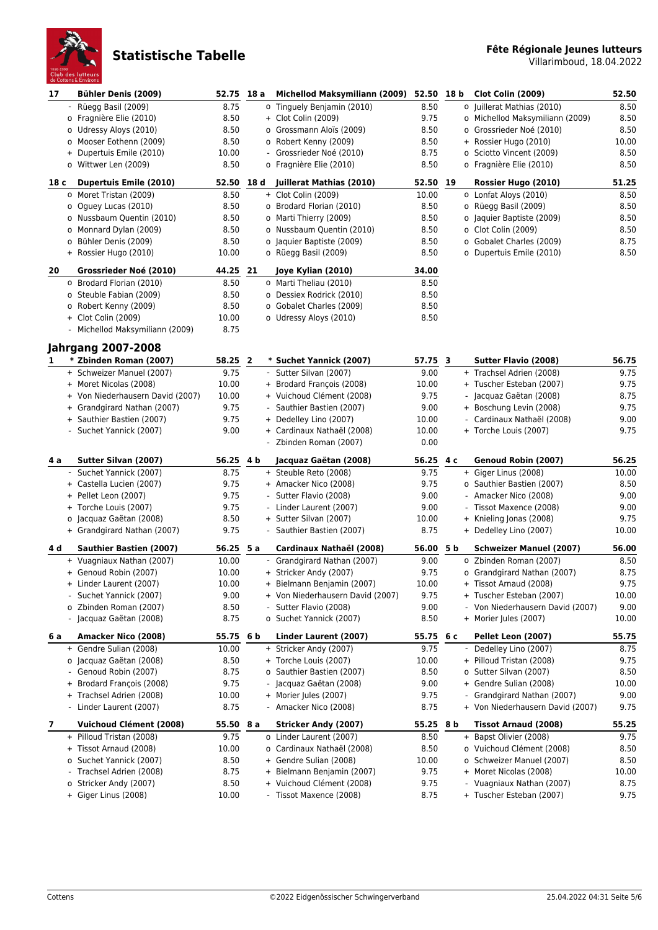

| 17              | <b>Bühler Denis (2009)</b>                          | 52.75           | 18 a | <b>Michellod Maksymiliann (2009)</b>                  | 52.50 18 b    |     | <b>Clot Colin (2009)</b>                                      | 52.50         |
|-----------------|-----------------------------------------------------|-----------------|------|-------------------------------------------------------|---------------|-----|---------------------------------------------------------------|---------------|
|                 | - Rüegg Basil (2009)                                | 8.75            |      | o Tinguely Benjamin (2010)                            | 8.50          |     | o Juillerat Mathias (2010)                                    | 8.50          |
|                 | o Fragnière Elie (2010)                             | 8.50            |      | + Clot Colin (2009)                                   | 9.75          |     | o Michellod Maksymiliann (2009)                               | 8.50          |
|                 | o Udressy Aloys (2010)                              | 8.50            |      | o Grossmann Aloïs (2009)                              | 8.50          |     | o Grossrieder Noé (2010)                                      | 8.50          |
|                 | o Mooser Eothenn (2009)                             | 8.50            |      | o Robert Kenny (2009)                                 | 8.50          |     | + Rossier Hugo (2010)                                         | 10.00         |
|                 | + Dupertuis Emile (2010)                            | 10.00           |      | - Grossrieder Noé (2010)                              | 8.75          |     | o Sciotto Vincent (2009)                                      | 8.50          |
|                 | o Wittwer Len (2009)                                | 8.50            |      | o Fragnière Elie (2010)                               | 8.50          |     | o Fragnière Elie (2010)                                       | 8.50          |
| 18 <sub>c</sub> | <b>Dupertuis Emile (2010)</b>                       | 52.50           | 18 d | Juillerat Mathias (2010)                              | 52.50 19      |     | Rossier Hugo (2010)                                           | 51.25         |
|                 | o Moret Tristan (2009)                              | 8.50            |      | + Clot Colin (2009)                                   | 10.00         |     | o Lonfat Aloys (2010)                                         | 8.50          |
|                 | o Oguey Lucas (2010)                                | 8.50            |      | o Brodard Florian (2010)                              | 8.50          |     | o Rüegg Basil (2009)                                          | 8.50          |
|                 | o Nussbaum Quentin (2010)                           | 8.50            |      | o Marti Thierry (2009)                                | 8.50          |     | o Jaquier Baptiste (2009)                                     | 8.50          |
|                 | o Monnard Dylan (2009)                              | 8.50            |      | o Nussbaum Quentin (2010)                             | 8.50          |     | o Clot Colin (2009)                                           | 8.50          |
|                 | o Bühler Denis (2009)                               | 8.50            |      | o Jaquier Baptiste (2009)                             | 8.50          |     | o Gobalet Charles (2009)                                      | 8.75          |
|                 | + Rossier Hugo (2010)                               | 10.00           |      | o Rüegg Basil (2009)                                  | 8.50          |     | o Dupertuis Emile (2010)                                      | 8.50          |
| 20              | Grossrieder Noé (2010)                              | 44.25 21        |      | Joye Kylian (2010)                                    | 34.00         |     |                                                               |               |
|                 | o Brodard Florian (2010)                            | 8.50            |      | o Marti Theliau (2010)                                | 8.50          |     |                                                               |               |
|                 | o Steuble Fabian (2009)                             | 8.50            |      | o Dessiex Rodrick (2010)                              | 8.50          |     |                                                               |               |
|                 | o Robert Kenny (2009)                               | 8.50            |      | o Gobalet Charles (2009)                              | 8.50          |     |                                                               |               |
|                 | + Clot Colin (2009)                                 | 10.00           |      | o Udressy Aloys (2010)                                | 8.50          |     |                                                               |               |
|                 | - Michellod Maksymiliann (2009)                     | 8.75            |      |                                                       |               |     |                                                               |               |
|                 |                                                     |                 |      |                                                       |               |     |                                                               |               |
|                 | <b>Jahrgang 2007-2008</b>                           |                 |      |                                                       |               |     |                                                               |               |
| 1               | * Zbinden Roman (2007)                              | 58.25 2<br>9.75 |      | * Suchet Yannick (2007)                               | 57.75 3       |     | <b>Sutter Flavio (2008)</b>                                   | 56.75         |
|                 | + Schweizer Manuel (2007)<br>+ Moret Nicolas (2008) | 10.00           |      | - Sutter Silvan (2007)<br>+ Brodard François (2008)   | 9.00<br>10.00 |     | + Trachsel Adrien (2008)<br>+ Tuscher Esteban (2007)          | 9.75<br>9.75  |
|                 | + Von Niederhausern David (2007)                    | 10.00           |      | + Vuichoud Clément (2008)                             | 9.75          |     | - Jacquaz Gaëtan (2008)                                       | 8.75          |
|                 | + Grandgirard Nathan (2007)                         | 9.75            |      | - Sauthier Bastien (2007)                             | 9.00          |     | + Boschung Levin (2008)                                       | 9.75          |
|                 | + Sauthier Bastien (2007)                           | 9.75            |      | + Dedelley Lino (2007)                                | 10.00         |     | Cardinaux Nathaël (2008)                                      | 9.00          |
|                 | - Suchet Yannick (2007)                             | 9.00            |      | + Cardinaux Nathaël (2008)                            | 10.00         |     | + Torche Louis (2007)                                         | 9.75          |
|                 |                                                     |                 |      | - Zbinden Roman (2007)                                | 0.00          |     |                                                               |               |
|                 |                                                     |                 |      |                                                       |               |     |                                                               |               |
|                 |                                                     |                 |      |                                                       |               |     |                                                               |               |
| 4 a             | Sutter Silvan (2007)                                | 56.25 4 b       |      | Jacquaz Gaëtan (2008)                                 | 56.25         | 4 c | Genoud Robin (2007)                                           | 56.25         |
|                 | - Suchet Yannick (2007)                             | 8.75            |      | + Steuble Reto (2008)                                 | 9.75          |     | + Giger Linus (2008)                                          | 10.00         |
|                 | + Castella Lucien (2007)                            | 9.75            |      | + Amacker Nico (2008)                                 | 9.75          |     | o Sauthier Bastien (2007)                                     | 8.50          |
|                 | + Pellet Leon (2007)                                | 9.75            |      | - Sutter Flavio (2008)                                | 9.00          |     | Amacker Nico (2008)                                           | 9.00          |
|                 | + Torche Louis (2007)                               | 9.75            |      | - Linder Laurent (2007)                               | 9.00          |     | - Tissot Maxence (2008)                                       | 9.00          |
|                 | o Jacquaz Gaëtan (2008)                             | 8.50            |      | + Sutter Silvan (2007)                                | 10.00         |     | + Knieling Jonas (2008)                                       | 9.75          |
|                 | + Grandgirard Nathan (2007)                         | 9.75            |      | - Sauthier Bastien (2007)                             | 8.75          |     | + Dedelley Lino (2007)                                        | 10.00         |
| 4 d             | <b>Sauthier Bastien (2007)</b>                      | 56.25           | 5 a  | Cardinaux Nathaël (2008)                              | 56.00 5 b     |     | <b>Schweizer Manuel (2007)</b>                                | 56.00         |
|                 | + Vuagniaux Nathan (2007)                           | 10.00           |      | - Grandgirard Nathan (2007)                           | 9.00          |     | o Zbinden Roman (2007)                                        | 8.50          |
|                 | + Genoud Robin (2007)                               | 10.00           |      | + Stricker Andy (2007)                                | 9.75          |     | o Grandgirard Nathan (2007)                                   | 8.75          |
|                 | + Linder Laurent (2007)                             | 10.00           |      | + Bielmann Benjamin (2007)                            | 10.00         |     | + Tissot Arnaud (2008)                                        | 9.75          |
|                 | - Suchet Yannick (2007)                             | 9.00            |      | + Von Niederhausern David (2007)                      | 9.75          |     | + Tuscher Esteban (2007)                                      | 10.00         |
|                 | o Zbinden Roman (2007)                              | 8.50            |      | - Sutter Flavio (2008)                                | 9.00          |     | - Von Niederhausern David (2007)                              | 9.00          |
|                 | - Jacquaz Gaëtan (2008)                             | 8.75            |      | o Suchet Yannick (2007)                               | 8.50          |     | + Morier Jules (2007)                                         | 10.00         |
| 6 a             | Amacker Nico (2008)                                 | 55.75 6 b       |      | Linder Laurent (2007)                                 | 55.75 6 c     |     | Pellet Leon (2007)                                            | 55.75         |
|                 | + Gendre Sulian (2008)                              | 10.00           |      | + Stricker Andy (2007)                                | 9.75          |     | Dedelley Lino (2007)                                          | 8.75          |
|                 | o Jacquaz Gaëtan (2008)                             | 8.50            |      | + Torche Louis (2007)                                 | 10.00         |     | + Pilloud Tristan (2008)                                      | 9.75          |
|                 | - Genoud Robin (2007)                               | 8.75            |      | o Sauthier Bastien (2007)                             | 8.50          |     | o Sutter Silvan (2007)                                        | 8.50          |
|                 | + Brodard François (2008)                           | 9.75            |      | - Jacquaz Gaëtan (2008)                               | 9.00          |     | + Gendre Sulian (2008)                                        | 10.00         |
|                 | + Trachsel Adrien (2008)<br>- Linder Laurent (2007) | 10.00<br>8.75   |      | + Morier Jules (2007)<br>- Amacker Nico (2008)        | 9.75<br>8.75  |     | Grandgirard Nathan (2007)<br>+ Von Niederhausern David (2007) | 9.00<br>9.75  |
|                 |                                                     |                 |      |                                                       |               |     |                                                               |               |
| 7               | <b>Vuichoud Clément (2008)</b>                      | 55.50 8 a       |      | Stricker Andy (2007)                                  | 55.25 8 b     |     | Tissot Arnaud (2008)                                          | 55.25         |
|                 | + Pilloud Tristan (2008)<br>+ Tissot Arnaud (2008)  | 9.75            |      | o Linder Laurent (2007)<br>o Cardinaux Nathaël (2008) | 8.50          |     | + Bapst Olivier (2008)<br>o Vuichoud Clément (2008)           | 9.75          |
|                 | o Suchet Yannick (2007)                             | 10.00           |      | + Gendre Sulian (2008)                                | 8.50          |     | o Schweizer Manuel (2007)                                     | 8.50          |
|                 | Trachsel Adrien (2008)<br>$\sim$                    | 8.50<br>8.75    |      | + Bielmann Benjamin (2007)                            | 10.00<br>9.75 |     | + Moret Nicolas (2008)                                        | 8.50<br>10.00 |
|                 | o Stricker Andy (2007)                              | 8.50            |      | + Vuichoud Clément (2008)                             | 9.75          |     | - Vuagniaux Nathan (2007)                                     | 8.75          |